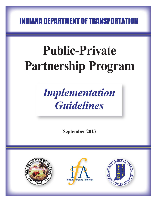**INDIANA DEPARTMENT OF TRANSPORTATION** 

# **Public-Private Partnership Program**

## **Implementation Guidelines**

September 2013





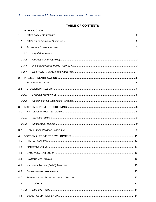#### **TABLE OF CONTENTS**

| 1            |       |  |  |  |
|--------------|-------|--|--|--|
| 1.1          |       |  |  |  |
| 1.2          |       |  |  |  |
| 1.3          |       |  |  |  |
|              | 1.3.1 |  |  |  |
|              | 1.3.2 |  |  |  |
|              | 1.3.3 |  |  |  |
|              | 1.3.4 |  |  |  |
| $\mathbf{2}$ |       |  |  |  |
| 2.1          |       |  |  |  |
| 2.2          |       |  |  |  |
|              | 2.2.1 |  |  |  |
|              | 2.2.2 |  |  |  |
| 3            |       |  |  |  |
| 3.1          |       |  |  |  |
|              | 3.1.1 |  |  |  |
|              | 3.1.2 |  |  |  |
| 3.2          |       |  |  |  |
| 4            |       |  |  |  |
| 4.1          |       |  |  |  |
| 4.2          |       |  |  |  |
| 4.3          |       |  |  |  |
| 4.4          |       |  |  |  |
| 4.5          |       |  |  |  |
| 4.6          |       |  |  |  |
| 4.7          |       |  |  |  |
|              | 4.7.1 |  |  |  |
|              | 4.7.2 |  |  |  |
| 4.8          |       |  |  |  |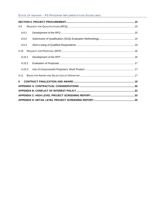#### STATE OF INDIANA – P3 PROGRAM IMPLEMENTATION GUIDELINES

| 4.9    |  |  |  |
|--------|--|--|--|
| 4.9.1  |  |  |  |
| 4.9.2  |  |  |  |
| 4.9.3  |  |  |  |
| 4.10   |  |  |  |
| 4.10.1 |  |  |  |
| 4.10.2 |  |  |  |
| 4.10.3 |  |  |  |
| 4.11   |  |  |  |
| 5      |  |  |  |
|        |  |  |  |
|        |  |  |  |
|        |  |  |  |
|        |  |  |  |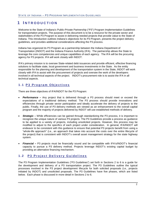## <span id="page-3-0"></span>**1 I NTRODUCTION**

Welcome to the State of Indiana's Public-Private Partnership ("P3") Program Implementation Guidelines for transportation projects. The purpose of this document is to be a resource for the private sector and stakeholders of the P3 Program to assist in delivering needed projects that provide value to the State of Indiana. This introduction outlines Indiana's objectives for its P3 Program, presents the project delivery guidelines, and provides additional considerations affecting the P3 process.

Indiana has organized its P3 Program as a partnership between the Indiana Department of Transportation (INDOT) and the Indiana Finance Authority (IFA). The partnership allows the State to leverage the core competencies and unique capabilities of each agency. The IFA will be the procuring agency for P3 projects. IFA will work closely with INDOT.

IFA's primary mission is to oversee State-related debt issuances and provide efficient, effective financing solutions to facilitate state, local government and business investments in the State. As the entity responsible for the planning and development of the transportation system in the State, INDOT will work closely with IFA to assist with the procurement of projects and oversee the work of the developers involved in all technical aspects of the project. INDOT's procurement role is to assist the IFA in all technical aspects.

#### <span id="page-3-1"></span>**1.1 P 3 Program Objectives**

There are three objectives of IFA/INDOT for the P3 Program:

- *Performance* **–** Any project that is delivered through a P3 process should meet or exceed the expectations of a traditional delivery method. The P3 process should provide innovations and efficiencies through private sector participation and ideally accelerate the delivery of projects to the public. Finally, the use of P3 delivery methods are viewed as an enhancement to the overall capital program and the majority of projects delivered by INDOT will use established methods of delivery.
- **Strategic** While efficiencies can be gained through standardizing the P3 process, it is important to recognize the unique nature of various P3 projects. The P3 Guidelines provide a process as guidance to be applied to a variety of projects, including unsolicited projects. However, this process may be modified to adjust to the specifics of each project under consideration. In general, IFA/INDOT will endeavor to be consistent with this guidance to ensure that potential P3 projects benefit from using a "whole-life approach" (i.e., an approach that takes into account the costs over the entire lifecycle of the project) that is consistent with INDOT's overall asset management strategy for the state highway system.
- *Financial* **–** P3 projects must be financially sound and be compatible with IFA's/INDOT's financial capacity to pursue a P3 delivery method. Projects leverage INDOT's existing capital budget by providing an alternative financing mechanism.

#### <span id="page-3-2"></span>**1.2 P 3 Projec t Delivery Guidelines**

The P3 Program Implementation Guidelines ("P3 Guidelines") set forth in Sections 2 to 6 is a guide for the development and delivery of a P3 transportation project. The P3 Guidelines outline the typical processes involved in the P3 project development lifecycle for both solicited proposals (i.e., projects initiated by INDOT) and unsolicited proposals. The P3 Guidelines have five phases, which are listed below. Each phase is discussed in more detail in Sections 2 to 6.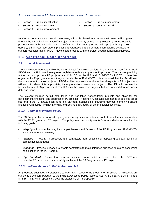- Section 2 Project identification
- Section 5 Project procurement

Section 3 - Project screening

- Section 6 Contract award
- Section 4 Project development

INDOT in cooperation with IFA will determine, in its sole discretion, whether a P3 project will progress through the P3 Guidelines. Even if a project meets eligibility criteria, the project may not necessarily proceed through the P3 Guidelines. If IFA/INDOT elect not to proceed with a project through a P3 delivery, it may later reconsider if project characteristics change or more information is available to support reconsideration. INDOT may elect to proceed with the project through atraditional delivery.

#### <span id="page-4-0"></span>**1.3 Additional Considerations**

#### <span id="page-4-1"></span>*1.3.1 Legal Framework*

The P3 Program operates within the general legal framework set forth in the Indiana Code ("IC"). Both INDOT and the IFA have been granted legislative authority to procure P3 projects. The statutes providing authorization to procure P3 projects are IC 8-15.5 for the IFA and IC 8-15.7 for INDOT. Indiana has organized its P3 program around the joint capabilities of IFA/INDOT. It is envisioned that the IFA will lead the procurement on most projects. INDOT will be responsible for the technical aspects of P3 projects and will commit, where it is appropriate, its appropriations towards a project. The IFA will oversee the financial terms of P3 procurement. The IFA must be involved in projects that are financed through bonds, debt and loans.

The relevant statutes permit both tolled and non-tolled transportation projects and allow for the development, financing, and operation of P3 projects. Appendix A contains summaries of selected topics set forth in the P3 statute such as tolling, payment mechanisms, financing methods, combining private financing with public funding/financing, and issuing debt, equity or other financial securities.

#### <span id="page-4-2"></span>*1.3.2 Conflict of Interest Policy*

The P3 Program has developed a policy concerning actual or potential conflicts of interest in connection with the P3 Program or a P3 project. The policy, attached as Appendix B, is intended to accomplish the following goals:

- *Integrity*  Promote the integrity, competitiveness and fairness of the P3 Program and IFA/INDOT's P3 procurement processes;
- *Fairness* Prevent P3 proposers and contractors from obtaining or appearing to obtain an unfair competitive advantage;
- *Guidance* Provide guidance to enable contractors to make informed business decisions concerning participation in the P3 Program;
- *High Standard* Ensure that there is sufficient contractor talent available for both INDOT and potential P3 proposers to successfully implement the P3 Program and a P3 project*.*

#### <span id="page-4-3"></span>*1.3.3 Indiana Access to Public Records Act*

All proposals submitted by proposers to IFA/INDOT become the property of IFA/INDOT. Proposals are subject to disclosure pursuant to the Indiana Access to Public Records Act (IC 5-14-3), IC 8-15.5-4-6 and IC 8-15.7-4-6, which specifically governs disclosure of P3 proposals.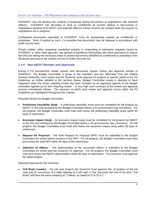IFA/INDOT may not disclose the contents of proposals during discussions or negotiations with potential offerors. IFA/INDOT has discretion to treat as confidential all records relating to discussions or negotiations between IFA/ INDOT and potential offerors if those records are created while discussions or negotiations are in progress.

Confidential documents submitted to IFA/INDOT must be prominently marked as confidential or proprietary. Even if marked as such, it is possible that documents may be released in accordance with public access laws.

Private entities, either proposing unsolicited projects or responding to solicitation requests issued by IFA/INDOT or other state agencies, are advised to familiarize themselves with these provisions to ensure that they are taking the necessary steps to protect documents identified as confidential or proprietary from disclosure pursuant to the Indiana Access to Public Records Act.

#### <span id="page-5-0"></span>*1.3.4 Non-INDOT Reviews and Approvals*

During a P3 procurement certain actions and documents require review and approval outside of IFA/INDOT. The Budget Committee, a group of five members and four alternates from the Indiana General Assembly, must review and the Governor must approve P3 projects at specific points in the P3 Guidelines as further detailed in the sections below. Budget Committee review is deemed to have happened when the action requiring review has been included on an approved agenda of the budget committee agenda as an item requiring review. A very high level summary of the review and approval process immediately follows. The junctures at which each review and approval occurs within the P3 Guidelines are highlighted throughout this manual.

Required Review by Budget Committee:

- *Preliminary Feasibility Study* A preliminary feasibility study must be completed for toll projects by INDOT or IFA and reviewed by the Budget Committee before a P3 procurement may commence. For toll projects, the Budget Committee must meet and review the preliminary feasibility study within 90 days of submission.
- *Economic Impact Study* An economic impact study must be completed for toll projects by INDOT or the IFA and reviewed by the Budget Committee before a P3 procurement may commence. For toll projects, the Budget Committee must meet and review the economic impact study within 90 days of submission.
- *Request for Proposal* The draft Request for Proposal (RFP) must be submitted to the Budget Committee for review before issuance of the RFP. For toll projects, the Budget Committee must meet and review the draft RFP within 90 days of the submission.
- *Selection of Offeror* The determination of the successful offeror is submitted to the Budget Committee for review and the Governor for approval. For toll projects, the Budget Committee must meet and review the INDOT determination within 90 days of submission. The Governor must approve the determination.

Required Approval by the Governor:

• *Toll Road Location* – For toll road projects the Governor must approve the: (i) location of the toll road and (ii) conversion of a state highway to a toll road. In this document the use of the term "Toll Road" will have the same meaning as "Tollway" as stated in IC 8-15-3-7.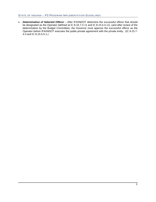#### STATE OF INDIANA – P3 PROGRAM IMPLEMENTATION GUIDELINES

• *Determination of Selected Offeror* – After IFA/INDOT determine the successful offeror that should be designated as the Operator (defined at IC 8-15.7-2-11 and IC 8-15.5-4-11) (and after review of the determination by the Budget Committee), the Governor must approve the successful offeror as the Operator before IFA/INDOT executes the public-private agreement with the private entity. (IC 8-15.7- 4-3 and IC 8-15.5-5-1.)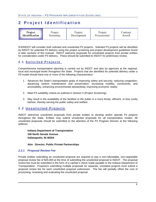## <span id="page-7-0"></span>**2 Project Identification**

| Project               | Project   | Project     | Project     | Contract |
|-----------------------|-----------|-------------|-------------|----------|
| <b>Identification</b> | Screening | Development | Procurement | Award    |

IFA/INDOT will consider both solicited and unsolicited P3 projects. Solicited P3 projects will be identified by INDOT for potential P3 delivery using the project screening and project development guidelines found in later sections of this manual. INDOT welcome proposals for unsolicited projects from private entities for consideration under P3 delivery. These should be submitted to INDOT for preliminary review.

#### <span id="page-7-1"></span>**2.1 Solicited Projects**

Comprehensive transportation planning is carried out by INDOT and also by agencies at the regional, local and municipal levels throughout the State. Projects that are identified for potential delivery under a P3 model should have one or more of the following characteristics:

- 1. Advances the State's transportation goals of improving safety and security; reducing congestion; advancing system maintenance and preservation; increasing mobility, connectivity, and accessibility; enhancing environmental stewardship; improving economic vitality;
- 2. Meet P3 suitability criteria as outlined in Section 3 (Project Screening);
- 3. May result in the availability of the facilities to the public in a more timely, efficient, or less costly fashion, thereby serving the public safety and welfare.

#### <span id="page-7-2"></span>**2.2 Unsolicited Project s**

INDOT welcomes unsolicited proposals from private entities to develop and/or operate P3 projects throughout the State. Entities may submit unsolicited proposals for all transportation modes. All unsolicited proposals should be submitted to the attention of the P3 Program Director at the following address:

**Indiana Department of Transportation 100 North Senate Avenue Indianapolis, IN 46204**

#### **Attn: Director, Public Private Partnerships**

#### <span id="page-7-3"></span>*2.2.1 Proposal Review Fee*

Private entities submitting an unsolicited proposal are required to pay a non-refundable, non-negotiable proposal review fee of \$25,000 at the time of submitting the unsolicited proposal to INDOT. The proposal review fee must be submitted in the form of a cashier's check made payable to the Indiana Department of Transportation. Proposers submitting multiple proposals for separate, unrelated projects must submit a proposal review fee for each unsolicited proposal submission. The fee will partially offset the cost of processing, reviewing and evaluating the unsolicited proposal.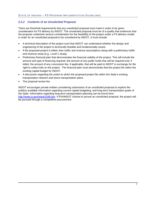#### <span id="page-8-0"></span>*2.2.2 Contents of an Unsolicited Proposal*

There are threshold requirements that any unsolicited proposal must meet in order to be given consideration for P3 delivery by INDOT. The unsolicited proposal must be of a quality that evidences that the proposer undertook serious consideration for the feasibility of the project under a P3 delivery model. In order for an unsolicited proposal to be considered by INDOT, it must include:

- A technical description of the project such that INDOT can understand whether the design and engineering of the project is technically feasible and fundamentally sound.
- If the proposed project is tolled, then traffic and revenue assumptions along with a preliminary traffic and revenue study (e.g., Level 1 study).
- Preliminary financial plan that demonstrates the financial viability of the project. This will include the amount and type of financing required, the amount of any public funds that will be required and, if tolled, the amount of any concession fee, if applicable, that will be paid to INDOT in exchange for the right to collect tolls on the project. The financial plan must demonstrate that the project fits within the existing capital budget for INDOT.
- A discussion regarding the extent to which the proposed project fits within the State's existing transportation network and future transportation plans.
- The proposal review fee.

INDOT encourages private entities considering submission of an unsolicited proposal to explore the publicly available information regarding current capital budgeting, and long-term transportation goals of the State. Information regarding long-term transportation planning can be found here: [http://www.in.gov/indot/2348.htm.](http://www.in.gov/indot/2348.htm) If IFA/INDOT choose to pursue an unsolicited proposal, the project will be pursued through a competitive procurement.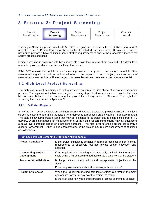## <span id="page-9-0"></span>**3 S ECTION 3 : Project Screening**

| Project        | Project   | Project     | Project     | Contract |
|----------------|-----------|-------------|-------------|----------|
| Identification | Screening | Development | Procurement | Award    |

The Project Screening phase provides IFA/INDOT with guidelines to assess the suitability of delivering P3 projects. The P3 Project Screening phase applies to solicited and unsolicited P3 projects. However, unsolicited proposals have additional administrative requirements to ensure the proposals adhere to the State's process and goals.

Project screening is organized into two phases: (1) a high level review of projects and (2) a detail level review for projects, which pass the initial high-level review.

IFA/INDOT reserve the right to amend screening criteria for any reason including to adapt to State transportation goals or policies and to address unique aspects of each project, such as mode of transportation, new and rehabilitation projects vs. asset leases, and revenue risk vs. non-revenue risk.

#### <span id="page-9-1"></span>**3.1 High Level Project Screenin g**

The high level project screening and policy review represents the first phase of a two-step screening process. The objective of the high level project screening step is to identify any major obstacles that must be overcome before further considering the project for delivery under a P3 model. The high level screening form is provided in Appendix C.

#### <span id="page-9-2"></span>*3.1.1 Solicited Projects*

IFA/INDOT will review available project information and data and assess the project against the high level screening criteria to determine the feasibility of delivering a proposed project via the P3 delivery method. The table below summarizes criteria that may be examined for a project that is being considered for P3 delivery. A project that does not meet some or all of the high level screening criteria may still advance to a detail level screening based on other considerations. The high level screening criteria are merely a guide for assessment. Other unique characteristics of the project may require assessment of additional considerations.

| <b>High Level Project Screening Criteria for All Proposals</b>                                                                                                                                              |                                                                                                                                                                                                                 |  |  |
|-------------------------------------------------------------------------------------------------------------------------------------------------------------------------------------------------------------|-----------------------------------------------------------------------------------------------------------------------------------------------------------------------------------------------------------------|--|--|
| <b>Project Complexity</b><br>Is the project sufficiently complex in terms of technical and/or financial<br>requirements to effectively leverage private sector innovation and<br>expertise?                 |                                                                                                                                                                                                                 |  |  |
| If the required public funding is not currently available for the project,<br><b>Accelerating Project</b><br>could using a P3 delivery method accelerate the delivery of the project?<br><b>Development</b> |                                                                                                                                                                                                                 |  |  |
| <b>Transportation Priorities</b>                                                                                                                                                                            | Is the project consistent with overall transportation objectives of the<br>State?<br>Does the project adequately address transportation needs?                                                                  |  |  |
| <b>Project Efficiencies</b>                                                                                                                                                                                 | Would the P3 delivery method help foster efficiencies through the most<br>appropriate transfer of risk over the project life-cycle?<br>Is there an opportunity to bundle projects or create economies of scale? |  |  |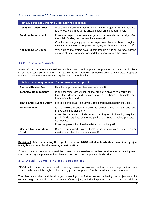#### STATE OF INDIANA – P3 PROGRAM IMPLEMENTATION GUIDELINES

| <b>High Level Project Screening Criteria for All Proposals</b>                                                                                                                   |                                                                                                                                                      |  |  |
|----------------------------------------------------------------------------------------------------------------------------------------------------------------------------------|------------------------------------------------------------------------------------------------------------------------------------------------------|--|--|
| <b>Ability to Transfer Risk</b><br>Would the P3 delivery method help transfer project risks and potential<br>future responsibilities to the private sector on a long-term basis? |                                                                                                                                                      |  |  |
| <b>Funding Requirement</b>                                                                                                                                                       | Does the project have revenue generation potential to partially offset<br>the public funding requirement if necessary?                               |  |  |
|                                                                                                                                                                                  | Could a public agency pay for the project over time, such as through an<br>availability payment, as opposed to paying for its entire costs up front? |  |  |
| <b>Ability to Raise Capital</b>                                                                                                                                                  | Would doing the project as a P3 help free up funds or leverage existing<br>sources of funds for other transportation priorities with the State?      |  |  |

#### <span id="page-10-0"></span>*3.1.2 Unsolicited Projects*

IFA/INDOT encourage private entities to submit unsolicited proposals for projects that meet the high level screening criteria set forth above. In addition to the high level screening criteria, unsolicited proposals must also meet the administrative requirements set forth below:

| <b>Administrative Requirements for an Unsolicited Proposal</b>                                                          |                                                                                                                                                                 |  |  |
|-------------------------------------------------------------------------------------------------------------------------|-----------------------------------------------------------------------------------------------------------------------------------------------------------------|--|--|
| <b>Proposal Review Fee</b>                                                                                              | Has the proposal review fee been submitted?                                                                                                                     |  |  |
| <b>Technical Requirements</b>                                                                                           | Is the technical description of the project sufficient to ensure INDOT<br>that the design and engineering is technically feasible and<br>fundamentally sound?   |  |  |
| <b>Traffic and Revenue Study</b>                                                                                        | For tolled proposals, is a Level 1 traffic and revenue study included?                                                                                          |  |  |
| <b>Financial Plan</b><br>Is the project financially viable as demonstrated by a sound and<br>marketable financial plan? |                                                                                                                                                                 |  |  |
|                                                                                                                         | Does the proposal include amount and type of financing required,<br>public funds required, or the fee paid to the State for tolled projects, if<br>appropriate? |  |  |
|                                                                                                                         | Does the project fit within the existing capital budget?                                                                                                        |  |  |
| <b>Meets a Transportation</b><br><b>Need</b>                                                                            | Does the proposed project fit into transportation planning policies or<br>meet an identified transportation need?                                               |  |  |

#### **Decision 1**: **After completing the high leve review, INDOT will decide whether a candidate project is eligible for detail level screening consideration.**

If INDOT determines that an unsolicited project is not suitable for further consideration as a P3 project, then it will notify the private entity submitting the unsolicited proposal of its decision.

#### <span id="page-10-1"></span>**3.2 Detail Level Project Screening**

INDOT will conduct a detail level screening review for solicited and unsolicited projects that have successfully passed the high level screening phase. Appendix D is the detail level screening form.

The objective of the detail level project screening is to further assess delivering the project as a P3, examine in greater detail the current status of the project, and identify potential risk elements. In addition,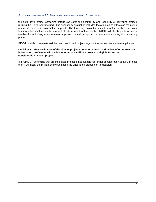#### STATE OF INDIANA – P3 PROGRAM IMPLEMENTATION GUIDELINES

the detail level project screening criteria evaluates the desirability and feasibility of delivering projects utilizing the P3 delivery method. The desirability evaluation includes factors such as effects on the public, market demand, and stakeholder support. The feasibility evaluation includes factors such as technical feasibility, financial feasibility, financial structure, and legal feasibility. INDOT will also begin to assess a timeline for achieving environmental approvals based on specific project criteria during this screening phase.

INDOT intends to evaluate solicited and unsolicited projects against the same criteria where applicable.

#### **Decision 2: After evaluation of detail level project screening criteria and review of other relevant information, IFA/INDOT will decide whether a candidate project is eligible for further consideration as a P3 project.**

If IFA/INDOT determine that an unsolicited project is not suitable for further consideration as a P3 project, then it will notify the private entity submitting the unsolicited proposal of its decision.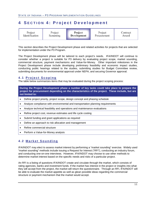## <span id="page-12-0"></span>**4 S ECTION 4 : Project Development**

| Project        | Project   | Project            | Project     | Contract |
|----------------|-----------|--------------------|-------------|----------|
| Identification | Screening | <b>Development</b> | Procurement | Award    |

This section describes the Project Development phase and related activities for projects that are selected for implementation under the P3 Program.

The Project Development phase will be tailored to each project's needs. IFA/INDOT will continue to consider whether a project is suitable for P3 delivery by evaluating project scope, market sounding, commercial structure, payment mechanisms and Value-for-Money. Other important milestones in the Project Development phase include developing preliminary feasibility and economic impact studies, conducting public hearings related to the studies, submitting studies for Budget Committee review, submitting documents for environmental approval under NEPA, and securing Governor approval.

#### <span id="page-12-1"></span>**4.1 Project Scoping**

The table below summarizes items that may be evaluated during the project scoping process:

**During the Project Development phase a number of key tasks could take place to prepare the project for procurement depending on the characteristics of the project. These include, but are not limited to:**

- Define project priority, project scope, design concept and phasing schedule
- Analyze compliance with environmental and transportation planning requirements
- Analyze technical feasibility and operations and maintenance evaluations
- Refine project cost, revenue estimates and life cycle costing
- Submit funding and grant applications as required
- Define an approach to risk allocation and management
- Refine commercial structure
- Perform a Value-for-Money analysis

#### <span id="page-12-2"></span>**4.2 Market Sounding**

IFA/INDOT may elect to assess market interest by performing a "market sounding" exercise. Widely used "market sounding" methods include issuing a Request for Interest ("RFI"), conducting an industry forum, and conducting one-on-one interviews. However, IFA/INDOT may choose to use other methods to determine market interest based on the specific needs and risks of a particular project.

An RFI is a listing of questions IFA/INDOT create and circulate through the market, which consists of rating agencies, banks and investment funds. If the market has interest in the project or insights into what they will accept from the project, the market will return the questionnaire. Through an RFI, IFA/INDOT will be able to evaluate the market appetite as well as glean possible ideas regarding the commercial structure or payment mechanism that the market would accept.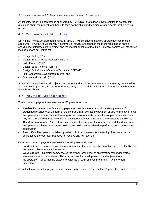An industry forum is a conference sponsored by IFA/INDOT that allows private entities to gather, ask questions about the project, and begin to form partnerships and teaming arrangements for the bidding process.

#### <span id="page-13-0"></span>**4.3 Commercial Structure**

During the Project Development phase, IFA/INDOT will continue to develop appropriate commercial structures. IFA/INDOT will identify a commercial structure that brings the most value based on the specific characteristics of the project and the market appetite at that time. Potential commercial structures include but are not limited to:

- Design-Build ("DB");
- Design-Build-Operate-Maintain ("DBOM");
- Build-Finance ("BF")
- Design-Build-Finance ("DBF");
- Design-Build-Finance-Operate-Maintain (" DBFOM");
- Full Concession/Development Rights; and
- Operate and Maintain ("OM").

IFA/INDOT recognize that all projects are different and a unique commercial structure may create value for a certain project and, therefore, IFA/INDOT may explore additional commercial structures other than those listed above.

#### <span id="page-13-1"></span>**4.4 Payment Mechanisms**

Three common payment mechanisms for P3 projects include:

- *Availability payments* Availability payments provide the operator with a steady stream of predefined revenue over the term of the contract. In an availability payment structure, the owner pays the operator an annual payment as long as the operator meets certain known performance criteria. Any toll revenue from a facility under an availability payment mechanism is remitted to the owner;
- *Milestone payments* A milestone payment mechanism pays the operator a predefined sum when the operator achieves certain thresholds. Thresholds can be related to performance, maintenance, or construction;
- **Real tolls** The operator will directly collect tolls from the users of the facility. The owner has no obligation to the operator, but does not receive any toll revenue;

Other less common payment mechanisms for P3 projects include:

- *Shadow tolls* The owner pays the operator a user fee based on the actual usage of the facility, but the owner collects actual toll revenue;
- *Value capture* Operator compensates the owner for the cost of an investment that generates economic value to the operator. This may involve the development of land adjacent to a transportation facility that increases the value as a result of investment (e.g., Tax Increment Financing);

As with all structures, the payment mechanism can be tailored to benefit the P3 project being developed.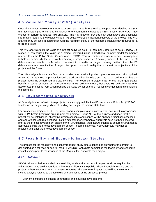#### <span id="page-14-0"></span>**4.5 Value for Money ("VfM") Analysis**

Once the Project Development work activities reach a sufficient level to support more detailed analysis (i.e., technical input refinement, completion of environmental studies and NEPA finality) IFA/INDOT may choose to perform a detailed VfM analysis. The VfM analysis provides both quantitative and qualitative information regarding the relative value of P3 delivery versus a traditional delivery of the project. The VfM analysis may be used in conjunction with the feasibility study or the economic impact study required for a toll road project.

This VfM analysis tests the value of a project delivered as a P3 (commonly referred to as a Shadow Bid Model) in comparison the value of a project delivered using a traditional delivery model (commonly referred to as the Public Sector Comparator or "PSC"). This information is a useful decision making tool to help determine whether it is worth procuring a project under a P3 delivery model. If the use of a P3 delivery model results in VfM, when compared to a traditional project delivery method, then the P3 delivers optimum combination of project life cycle costs and quality that will meet the objectives of the project and the State.

The VfM analysis is only one factor to consider when evaluating which procurement method is optimal. IFA/INDOT may move a project forward based on other benefits, such as faster delivery or that the project meets the established affordability limits. For example, a project may not offer clear quantitative benefit in terms of costs or revenue under a P3 delivery model; however, P3 delivery may offer accelerated project delivery which benefits the State by, for example, reducing congestion and stimulating the economy.

#### <span id="page-14-1"></span>**4.6 Environmental Approvals**

All federally-funded infrastructure projects must comply with National Environmental Policy Act ("NEPA"). In addition, all projects regardless of funding are subject to Indiana state laws.

For prospective projects, INDOT will work towards completing an environmental document in accordance with NEPA before beginning procurement for a project. During NEPA, the purpose and need for the project will be established, alternative design concepts and scopes will be analyzed, timelines assessed and operational features identified. To the extent that environmental approvals have not been secured prior to the project development phase of the P3 Guidelines, then INDOT intends to secure environmental approvals during the project development phase. In some instances, NEPA approval may not be received until after the project development phase.

#### <span id="page-14-2"></span>**4.7 Feasibility and Economic Impact Studies**

The process for the feasibility and economic impact study differs depending on whether the project is designated as a toll road or non-toll road. IFA/INDOT anticipate completing the feasibility and economic impact studies prior to the issuance of the Request for Proposals for a project.

#### <span id="page-14-3"></span>*4.7.1 Toll Road*

INDOT will commission a preliminary feasibility study and an economic impact study as required by Indiana Code. The preliminary feasibility study will identify the public-private financial structure and the project delivery structure INDOT chooses to pursue. The economic impact study will at a minimum include analysis relating to the following characteristics of the proposed project:

• Economic impacts on existing commercial and industrial development;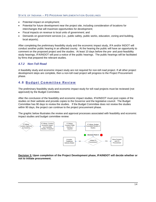- Potential impact on employment;
- Potential for future development near the project site, including consideration of locations for interchanges that will maximize opportunities for development;
- Fiscal impacts on revenue to local units of government; and
- Demands on government services (i.e., public safety, public works, education, zoning and building, local airports).

After completing the preliminary feasibility study and the economic impact study, IFA and/or INDOT will conduct another public hearing in an affected county. At the hearing the public will have an opportunity to comment on the proposed project and the studies. At least 10 days before the pre- and post-feasibility study hearings, IFA/INDOT will post a notice of the public hearings. The public hearings will be facilitated by firms that prepared the relevant studies.

#### <span id="page-15-0"></span>*4.7.2 Non-Toll Road*

A feasibility study and economic impact study are not required for non-toll road project. If all other project development steps are complete, then a non-toll road project will progress to the Project Procurement phase.

#### <span id="page-15-1"></span>**4.8 Budget Committee Review**

The preliminary feasibility study and economic impact study for toll road projects must be reviewed (not approved) by the Budget Committee.

After the conclusion of the feasibility and economic impact studies, IFA/INDOT must post copies of the studies on their website and provide copies to the Governor and the legislative council. The Budget Committee has 90 days to review the studies. If the Budget Committee does not review the studies within 90 days, the project can continue to the project procurement phase.

The graphic below illustrates the review and approval processes associated with feasibility and economic impact studies and budget committee review:



**Decision 3: Upon completion of the Project Development phase, IFA/INDOT will decide whether or not to initiate procurement.**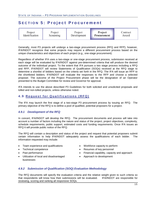### <span id="page-16-0"></span>**S ECTION 5 : P roject P rocurement**

| Project        | Project   | Project     | Project     | Contract |
|----------------|-----------|-------------|-------------|----------|
| Identification | Screening | Development | Procurement | Award    |

Generally, most P3 projects will undergo a two-stage procurement process (RFQ and RFP); however, IFA/INDOT recognize that some projects may require a different procurement process based on the unique characteristics and objectives of each project (e.g., one-stage procurement).

Regardless of whether IFA uses a two-stage or one-stage procurement process, submission received at each stage will be evaluated by IFA/INDOT against pre-determined criteria that will produce the desired outcome of the individual project. To the extent that IFA pursues a two stage process including a RFQ and RFP, IFA/INDOT will review Statements of Qualification (SOQs) received at the RFQ stage to determine a shortlist of bidders based on the criteria set forth in the RFQ. The IFA will issue an RFP to the shortlisted bidders. IFA/INDOT will evaluate the responses to the RFP and choose a selected proposer. The outcome of the Project Procurement phase will be the designation of an Operator presented to the Budget Committee for review and Governor for approval.

IFA intends to use the above described P3 Guidelines for both solicited and unsolicited proposals and tolled and non-tolled projects, unless otherwise noted.

#### <span id="page-16-1"></span>**4.9 Request for Qualifications ( RFQ)**

The IFA may launch the first stage of a two-stage P3 procurement process by issuing an RFQ. The primary objective of the RFQ is to define a pool of qualified, potential proposers for a project.

#### <span id="page-16-2"></span>*4.9.1 Development of the RFQ*

In concert, IFA/INDOT will develop the RFQ. The procurement documents and process will take into account a number of factors including the nature and status of the project, project objectives, complexity, schedule requirements, public support, estimated costs and funding requirements. Once IFA issues an RFQ it will provide public notice of the RFQ.

The RFQ will contain a description and status of the project and request that potential proposers submit certain information to help IFA/INDOT adequately assess the qualifications of each bidder. The information requested may include:

- Team experience and qualifications
- Technical competence
- Past performance
- Utilization of local and disadvantaged businesses
- Workforce capacity to perform
- Resumes of key personnel
- Financial capability, capacity and approach
- Approach to development

#### <span id="page-16-3"></span>*4.9.2 Submission of Qualification (SOQ) Evaluation Methodology*

The RFQ documents will specify the evaluation criteria and the relative weight given to such criteria so that respondents will know how their submissions will be evaluated. IFA/INDOT are responsible for reviewing, scoring and ranking all responsive SOQs.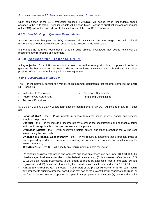Upon completion of the SOQ evaluation process, IFA/INDOT will decide which respondents should advance to the RFP stage. These individuals will be short-listed. Scoring of qualifications and any ranking of the SOQs will not be carried over to the evaluation of the final RFP responses.

#### <span id="page-17-0"></span>*4.9.3 Short-Listing of Qualified Respondents*

SOQ respondents that pass the SOQ evaluation will advance to the RFP stage. IFA will notify all respondents whether they have been short-listed to proceed to the RFP stage.

If there are no qualified respondents for a particular project, IFA/INDOT may decide to cancel the procurement or re-procure at a later date.

#### <span id="page-17-1"></span>**4.10 Request for Proposal (RFP)**

A key objective of the RFP process is to create competition among shortlisted proposers in order to generate the best value for the State. The IFA must issue a RFP for both solicited and unsolicited projects before it can enter into a public-private agreement.

#### <span id="page-17-2"></span>*4.10.1 Development of the RFP*

The RFP will normally consist of a variety of procurement documents that together comprise the entire RFP, including:

- Instruction to Proposers
- Public-Private Agreement
- Reference Documents
- 
- Forms and Certifications

• Technical Provisions

IC 8-15.5-4-2 and IC 8-15.7-4-2 sets forth specific requirements IFA/INDOT will include in any RFP such as:

- *Scope of Work* the RFP will indicate in general terms the scope of work, goods, and services sought to be procured;
- *Contract* the RFP will include or incorporate by reference the specifications and contractual terms and conditions applicable to the procurement and the project;
- *Evaluation Criteria* the RFP will specify the factors, criteria, and other information that will be used in evaluating the proposals;
- *Evidence of Financial Responsibility*  the RFP will require a statement that a proposal must be accompanied by evidence of financial responsibility as considered appropriate and satisfactory by the Project Sponsors;
- **MBE/WBE/DBE** the RFP will specify any requirements or goals for use of:
- (A) minority business enterprises and women's business enterprises certified under IC 4-13-16.5; (B) disadvantaged business enterprises under federal or state law; (C) businesses defined under IC 5- 22-15-20.5 as Indiana businesses, to the extent permitted by applicable federal and state law and regulations; and (D) businesses that qualify for a small business set-aside under IC 4-13.6-2-11;
- *Alternative Proposals for Toll Road* if all or part of the project will consist of a toll road, require any proposer to submit a proposal based upon that part of the project that will consist of a toll road, as set forth in the request for proposals, and permit any proposer to submit one (1) or more alternative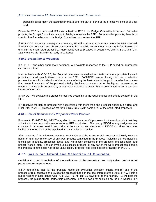proposals based upon the assumption that a different part or none of the project will consist of a toll road.

Before the RFP can be issued, IFA must submit the RFP to the Budget Committee for review. For tolled projects, the Budget Committee has up to 90 days to review the RFP. For non-tolled projects, there is no specific time frame by which the Budget Committee must review the RFP.

If IFA/INDOT conduct a one-stage procurement, IFA will provide a public notice before the RFP is issued. If IFA/INDOT conduct a two-phase procurement, then a public notice is not necessary before issuing the draft RFP to short listed proposers. Public notice will be provided in accordance with IC 5-3-1 and IC 8- 15.5-4-9 once the final RFP is ready to be issued.

#### <span id="page-18-0"></span>*4.10.2 Evaluation of Proposals*

IFA, INDOT and other appropriate personnel will evaluate responses to the RFP based on appropriate evaluation criteria.

In accordance with IC 8-15.5, the IFA shall determine the evaluation criteria that are appropriate for each project and shall specify those criteria in the RFP. IFA/INDOT reserve the right to use: a selection process that results in selection of the proposal offering the best value to the public; a selection process that results in selection of the proposal offering the lowest price or cost or the highest payment to, or revenue sharing with, IFA/INDOT; or any other selection process that is determined to be in the best interest of the state.

IFA/INDOT will evaluate the proposals received according to the requirements and criteria set forth in the RFP.

IFA reserves the right to proceed with negotiations with more than one proposer and/or run a Best and Final Offer ("BAFO") process, as set forth in IC 5-23-5-7,with some or all of the short-listed proposers.

#### <span id="page-18-1"></span>*4.10.3 Use of Unsuccessful Proposers' Work Product*

Pursuant to IC 8-15.7-4-4, INDOT may elect to pay unsuccessful proposers for the work product that they submit with their proposal in response to an RFP solicitation. The use by INDOT of any design element contained in an unsuccessful proposal is at the sole risk and discretion of INDOT and does not confer liability on the recipient of the stipulated amount under this section.

After payment of the stipulated amount, IFA/INDOT and the unsuccessful proposer will jointly own the rights to, and may make use of any work product contained in the proposal including the technologies, techniques, methods, processes, ideas, and information contained in the proposal, project design, and project financial plan. The use by the unsuccessful proposer of any part of the work product contained in the proposal is at the sole risk of the unsuccessful proposer and does not confer liability on INDOT.

#### <span id="page-18-2"></span>**4.11 Basis for Award and Selection of Operator**

#### **Decision 4: Upon completion of the evaluation of the proposals, IFA may select one or more proposers for negotiations.**

If IFA determines that: (a) the proposal meets the evaluation selection criteria and (b) one of the proposers from negotiations provides the proposal that is in the best interest of the State, IFA will hold a public hearing in accordance with IC 8-15.5-4-9. At least 10 days prior to the hearing, IFA will post the proposal, the public-private partnership agreement, and the basis for selection on the IFA website. IFA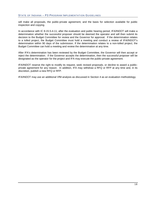will make all proposals, the public-private agreement, and the basis for selection available for public inspection and copying.

In accordance with IC 8-15.5-4-11, after the evaluation and public hearing period, IFA/INDOT will make a determination whether the successful proposer should be deemed the operator and will then submit its decision to the Budget Committee for review and the Governor for approval. If the determination relates to a tolled project, the Budget Committee must hold a meeting and conduct a review of IFA/INDOT's determination within 90 days of the submission. If the determination relates to a non-tolled project, the Budget Committee can hold a meeting and review the determination at any time.

After IFA's determination has been reviewed by the Budget Committee, the Governor will then accept or reject the determination. If the Governor accepts the determination, then the successful proposer will be designated as the operator for the project and IFA may execute the public-private agreement.

IFA/INDOT reserve the right to modify its request, seek revised proposals, or decline to award a publicprivate agreement for any reason. In addition, IFA may withdraw a RFQ or RFP at any time and, in its discretion, publish a new RFQ or RFP.

IFA/INDOT may use an additional VfM analysis as discussed in Section 4 as an evaluation methodology.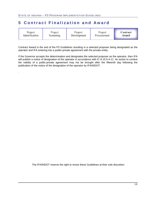.

## <span id="page-20-0"></span>**5 Contract Finalization and Award**

| Project        | Project   | Project     | Project     | Contract |
|----------------|-----------|-------------|-------------|----------|
| Identification | Screening | Development | Procurement | Award    |

Contract Award is the end of the P3 Guidelines resulting in a selected proposer being designated as the operator and IFA entering into a public-private agreement with the private entity.

If the Governor accepts the determination and designates the selected proposer as the operator, then IFA will publish a notice of designation of the operator in accordance with IC 8-15.5-4-11. An action to contest the validity of a public-private agreement may not be brought after the fifteenth day following the publication of the notice of the designation of the operator by IFA/INDOT.

The IFA/INDOT reserve the right to revise these Guidelines at their sole discretion.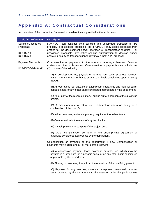## <span id="page-21-0"></span>**Appendix A : Contractual Considerations**

An overview of the contractual framework considerations is provided in the table below:

| <b>Topic / IC Reference</b>                  | <b>Description</b>                                                                                                                                                                                                                       |
|----------------------------------------------|------------------------------------------------------------------------------------------------------------------------------------------------------------------------------------------------------------------------------------------|
| Solicited/Unsolicited<br>Proposals           | IFA/INDOT can consider both solicited and unsolicited proposals for P3<br>projects. For solicited proposals, the IFA/INDOT may solicit proposals from<br>entities for the development and/or operation of transportation facilities. For |
| IC 8-15.7-4<br>$IC 8-15.5-4$                 | unsolicited proposals, any entity seeking authorization to develop and/or<br>operate a qualifying transportation facility may submit a P3 proposal.                                                                                      |
| Payment Mechanism<br>IC 8-15.7-5-1(b)(8),(9) | Compensation or payments to the operator, attorneys, bankers, financial<br>advisors, or other professionals. Compensation or payments may include one<br>(1) or more of the following:                                                   |
|                                              |                                                                                                                                                                                                                                          |
|                                              | (A) A development fee, payable on a lump sum basis, progress payment<br>basis, time and materials basis, or any other basis considered appropriate by<br>INDOT.                                                                          |
|                                              | (B) An operations fee, payable on a lump sum basis, time and material basis,<br>periodic basis, or any other basis considered appropriate by the department.                                                                             |
|                                              | (C) All or part of the revenues, if any, arising out of operation of the qualifying<br>project.                                                                                                                                          |
|                                              | (D) A maximum rate of return on investment or return on equity or a<br>combination of the two (2).                                                                                                                                       |
|                                              | (E) In kind services, materials, property, equipment, or other items.                                                                                                                                                                    |
|                                              | (F) Compensation in the event of any termination.                                                                                                                                                                                        |
|                                              | (G) A cash payment to pay part of the project cost.                                                                                                                                                                                      |
|                                              | (H) Other compensation set forth in the public-private agreement or<br>otherwise considered appropriate by the department.                                                                                                               |
|                                              | Compensation or payments to the department, if any. Compensation or<br>payments may include one (1) or more of the following:                                                                                                            |
|                                              | (A) A concession payment, lease payment, or other fee, which may be<br>payable in a lump sum, on a periodic basis, or on any other basis considered<br>appropriate by the department.                                                    |
|                                              | (B) Sharing of revenues, if any, from the operation of the qualifying project.                                                                                                                                                           |
|                                              | (C) Payment for any services, materials, equipment, personnel, or other<br>items provided by the department to the operator under the public-private                                                                                     |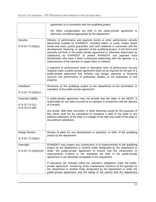|                                                                    | agreement or in connection with the qualifying project.                                                                                                                                                                                                                                                                                                                                                                                                                                                                                                                                                                                                                                                                                                                                                                                                                                                                                                                         |
|--------------------------------------------------------------------|---------------------------------------------------------------------------------------------------------------------------------------------------------------------------------------------------------------------------------------------------------------------------------------------------------------------------------------------------------------------------------------------------------------------------------------------------------------------------------------------------------------------------------------------------------------------------------------------------------------------------------------------------------------------------------------------------------------------------------------------------------------------------------------------------------------------------------------------------------------------------------------------------------------------------------------------------------------------------------|
|                                                                    | (D) Other compensation set forth in the public-private agreement or<br>otherwise considered appropriate by the department.                                                                                                                                                                                                                                                                                                                                                                                                                                                                                                                                                                                                                                                                                                                                                                                                                                                      |
| Security<br>IC 8-15.7-5-1(b)(1)                                    | Delivery of performance and payment bonds or other performance security<br>determined suitable by IFA/INDOT, including letters of credit, United States<br>bonds and notes, parent guaranties, and cash collateral, in connection with the<br>development, financing, or operation of the qualifying project, in the forms and<br>amounts set forth in the public-private agreement or otherwise determined as<br>satisfactory by IFA/INDOT to protect IFA/INDOT and payment bond<br>beneficiaries who have a direct contractual relationship with the operator or a<br>subcontractor of the operator to supply labor or material.<br>A payment or performance bond or alternative form of performance security<br>required under a public-private agreement shall not be required for the part of a<br>public-private agreement that includes only design, planning, or financing<br>services, the performance of preliminary studies, or the acquisition of real<br>property. |
| Handback<br>IC 8-15.7-5-1(b)(11)                                   | Reversion of the qualifying project to the department at the termination or<br>expiration of the public-private agreement.                                                                                                                                                                                                                                                                                                                                                                                                                                                                                                                                                                                                                                                                                                                                                                                                                                                      |
| <b>Financial Liability</b><br>IC 8-15.7-5-1(c)<br>IC 8-15.5-5-4(b) | A public-private agreement may not provide that the state or the INDOT is<br>responsible for any debt incurred by an operator in connection with the delivery<br>of a project.<br>Any bonds, debt other securities, or other financing issued for the purposes of<br>this article shall not be considered to constitute a debt of the state or any<br>political subdivision of the state or a pledge of the faith and credit of the state or                                                                                                                                                                                                                                                                                                                                                                                                                                                                                                                                    |
|                                                                    | any political subdivision.                                                                                                                                                                                                                                                                                                                                                                                                                                                                                                                                                                                                                                                                                                                                                                                                                                                                                                                                                      |
| Design Review<br>IC 8-15.7-5-1(b)(2)                               | Review of plans for any development or operation, or both, of the qualifying<br>project by the department                                                                                                                                                                                                                                                                                                                                                                                                                                                                                                                                                                                                                                                                                                                                                                                                                                                                       |
| Oversight<br>IC 8-15.7-5-1(b)(3),(5)                               | IFA/INDOT may inspect any construction of or improvements to the qualifying<br>project by the department or another entity designated by the department or<br>under the public-private agreement to ensure that the construction or<br>improvements conform to the standards set forth in the public-private<br>agreement or are otherwise acceptable to the department.                                                                                                                                                                                                                                                                                                                                                                                                                                                                                                                                                                                                        |
|                                                                    | If operations are included within the operator's obligations under the public-<br>private agreement, monitoring of the maintenance practices of the operator by<br>the department or another entity designated by the department or under the<br>public-private agreement, and the taking of the actions that the department                                                                                                                                                                                                                                                                                                                                                                                                                                                                                                                                                                                                                                                    |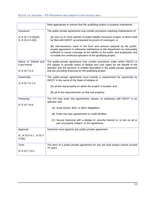|                                             | finds appropriate to ensure that the qualifying project is properly maintained.                                                                                                                                                                                                                           |
|---------------------------------------------|-----------------------------------------------------------------------------------------------------------------------------------------------------------------------------------------------------------------------------------------------------------------------------------------------------------|
| Insurance                                   | The public private agreement may contain provisions requiring maintenance of:                                                                                                                                                                                                                             |
| IC 8-15.7-5-1(b)(4)<br>IC 8-15.5-5-3(3)     | (A) one (1) or more policies of public liability insurance (copies of which shall<br>be filed with INDOT accompanied by proofs of coverage); or                                                                                                                                                           |
|                                             | (B) self-insurance; each in the form and amount required by the public-<br>private agreement or otherwise satisfactory to the department as reasonably<br>sufficient to insure coverage of tort liability to the public and employees and<br>to enable the continued operation of the qualifying project. |
| Notice of Default and<br><b>Cure Period</b> | The public-private agreement may contain provisions under which INDOT or<br>IFA agrees to provide notice of default and cure rights for the benefit of the<br>operator and the persons or entities described in the public-private agreement                                                              |
| $IC 8-15.7-5-4$                             | that are providing financing for the qualifying project.                                                                                                                                                                                                                                                  |
| Ownership                                   | The public-private agreement must include a requirement for ownership by<br>INDOT in the name of the State of Indiana of:                                                                                                                                                                                 |
| IC 8-15.7-5-1.5                             | (A) all the real property on which the project is located; and                                                                                                                                                                                                                                            |
|                                             | (B) all of the improvements on that real property.                                                                                                                                                                                                                                                        |
| Financing                                   | The IFA may enter into agreements, leases, or subleases with INDOT or an<br>operator and:                                                                                                                                                                                                                 |
| IC 8-15.7-8-6                               | (A) Issue bonds, debt, or other obligations                                                                                                                                                                                                                                                               |
|                                             | (B) Enter into loan agreements or credit facilities                                                                                                                                                                                                                                                       |
|                                             | (C) Secure financing with a pledge of, security interest in, or lien on all or<br>part of property subject to the agreement                                                                                                                                                                               |
| Approval                                    | Governor must approve any public-private agreement                                                                                                                                                                                                                                                        |
| IC 8-15.5-5-1, 8-15.7-<br>$4 - 3(b)$        |                                                                                                                                                                                                                                                                                                           |
| Term<br>IC 8-15.7-13-1                      | The term of a public-private agreement for any toll road project cannot exceed<br>75 years                                                                                                                                                                                                                |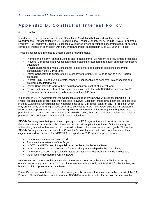## <span id="page-24-0"></span>**Appendix B : Conflict of Interest Policy**

#### A. Introduction

In order to provide guidance to potential Consultants (as defined below) participating in the Indiana Department of Transportation ("INDOT") and Indiana Finance Authority ("IFA") Public-Private Partnership Program ("P3 Program"). , These Guidelines ("Guidelines") were developed concerning actual or potential conflicts of interest in connection with a P3 Program project as defined in IC 8-15.7-2-14 ("Project").

These guidelines are intended to accomplish the following goals:

- Promote the integrity, competitiveness and fairness of the P3 Program its procurement processes;
- Prevent P3 proposers and Consultants from obtaining or appearing to obtain an unfair competitive advantage;
- Provide guidance to enable Consultants to make informed business decisions concerning participation in the P3 Program;
- Permit Consultants to compete fairly to either work for INDOT/IFA or as part of a P3 Program proposer:
- Protect INDOT's and IFA's interests, especially confidential and sensitive Project-specific and programmatic information;
- Permit Consultants to work without actual or apparent conflict of interest; and
- Ensure that there is sufficient Consultant talent available for both INDOT/IFA and potential P3 Program proposers to successfully implement the P3 Program.

In general, INDOT/IFA prefers that the Consultants engaged by INDOT/IFA in connection with a P3 Project are dedicated to providing their services to INDOT. Except in limited circumstances, as described in these Guidelines, Consultants may not participate on a P3 proposer team on any P3 Project in which they are currently performing or have performed services to INDOT/IFA. A Consultant's participation on P3 Program proposer teams or in performing work for INDOT/IFA on future Projects will generally be permitted unless INDOT/IFA determines, in its sole discretion, that such participation raises an actual or potential conflict of interest, as set forth in these Guidelines.

INDOT/IFA recognizes that, given the complexity of the P3 Program, there will be situations in which there is a potential or actual conflict of interest but the strict application of these Guidelines may not further the goals set forth above or that there will be tension between some of such goals. The factors INDOT/IFA may examine in relation to a Consultant's potential or actual conflict of interest and their eligibility to perform services for INDOT/IFA or as part of a P3 Program proposer include:

- Type of consulting services required;
- Particular circumstances of the Project;
- INDOT's and IFA's need for specialized expertise to implement a Project;
- INDOT's and IFA's past, present, or future working relationship with the Consultant;
- Time frame between the potential or actual conflict of interest situation and the Project; and
- Other factors deemed relevant by INDOT.

INDOT/IFA also recognize that any conflict of interest issue must be balanced with the necessity to ensure that an adequate number of Consultants are available not only to INDOT/IFA for the P3 Program, but also to P3 proposer teams on a Project.

These Guidelines do not attempt to address every conflict situation that may arise in the context of the P3 Program. These Guidelines do not mandate INDOT/IFA to make a particular decision or determination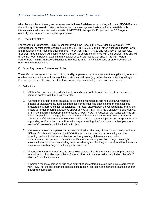when facts similar to those given as examples in these Guidelines occur during a Project. INDOT/IFA has the authority in its sole discretion, to determine on a case-by-case basis whether a material conflict of interest exists, what are the best interests of INDOT/IFA, the specific Project and the P3 Program generally, and what actions may be appropriate.

#### B. Federal Legislation

For federal-aid P3 projects, INDOT must comply with the Federal Highway Administration's ("FHWA") organizational conflict of interest rules found as 23 CFR § 636.116 and all other applicable federal laws and regulations (e.g., National environmental Policy Act ("NEPA") rules and regulations) (collectively, "Federal Rules"). INDOT will examine each situation to ensure compliance with the Federal Rules and will utilize the Federal Rules in examining any actual or potential issues that arise in the P3 Program. Furthermore, nothing in these Guidelines is intended to limit, modify supersede or otherwise alter the effect of the Federal Rules.

#### C. Other Regulations, Statutes and Rules

These Guidelines are not intended to limit, modify, supersede, or otherwise alter the applicability or effect of other relevant Indiana, or local regulations, statutes and rules (e.g., ethical rules pertaining to Legal Services (as defined below), and state laws concerning state employee and consultant ethics.)

#### D. Definitions

- 1. "Affiliate" means any entity which directly or indirectly controls, or is controlled by, or is under common control, with the business entity.
- 2. "Conflict of Interest" means an actual or potential circumstance arising out of a Consultant's existing or past activities, business interests, contractual relationships and/or organizational structure (i.e.:, parent entities, subsidiaries, Affiliates, etc.) wherein the Consultant is, or may be, unable to render impartial assistance and/or advice to INDOT/IFA; the Consultant's objectivity is, or may be, impaired in performing the scope of work INDOT/IFA desires; the Consultant has an unfair competitive advantage; the Consultant's services to INDOT/IFA may create or actually creates an unfair competitive advantage to a third party; or there is a perception or appearance of impropriety and/or unfair competitive advantage benefiting the Consultant or a third party as a result of Consultant's participation in a Project.
- 3. "Consultant" means any person or business entity (including any division of such entity and any Affiliate of such entity) retained by INDOT/IFA to provide professional consulting services including, without limitation, architectural and engineering, right-of-way acquisition, environmental, procurement assistance, traffic c and revenue projections, project oversight services, financial services (including financial advisory and banking services), and legal services in connection with a Project, including sub-consultants.
- 4. "Financial or Other Interest" means any known benefit other than enhancement of professional reputation, and includes a promise of future work on a Project as well as any indirect benefit of which a Consultant is aware.
- 5. "Operator" means a person or business entity that has entered into a public-private agreement with INDOT for the development, design, construction, operation, maintenance, planning and/or financing of a project.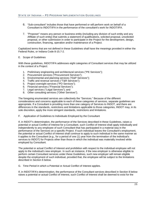- 6. "Sub-consultant" includes those that have performed or will perform work on behalf of a Consultant to INDOT/IFA in the performance of the consultant's work for INDOT/IFA.
- 7. "Proposer" means any person or business entity (including any division of such entity and any Affiliate of such entity) that submits a statement of qualifications, solicited proposal, unsolicited proposal, or other submission in order to participate in the Project for the development, design, construction, financing, operation and/or maintenance of a Project.

Capitalized terms that are not defined in these Guidelines shall have the meanings provided in either the Federal Rules, or Indiana Code 8-15.7-2.

#### E. Scope of Guidelines

With these guidelines, INDOT/IFA addresses eight categories of Consultant services that may be utilized in the context of a Project:

- 1. Preliminary engineering and architectural services ("PE Services");
- 2. Procurement services ("Procurement Services");
- 3. Environmental and planning services ("E&P Services");
- 4. Traffic and revenue services ("T&R Services");
- 5. Project oversight services ("PO Services");
- 6. Financial services ("Financial Services");
- 7. Legal services ("Legal Services"); and
- 8. Other consulting services ("Other Services").

The foregoing enumerated services are collectively the "Services." Because of the different considerations and concerns applicable to each of these categories of services, separate guidelines are appropriate. If a Consultant is providing more than one category of Services to INDOT, and there are differences in the standards, restrictions and limitations applicable to those categories, INDOT may, in its sole discretion, apply the more stringent standards, restrictions and limitations.

F. Application of Guidelines to Individuals Employed by the Consultant

If, in INDOT's determination, the performance of the Services described in these Guidelines, raises a potential or actual Conflict of Interest for a Consultant, such Conflict of Interest shall apply individually and independently to any employee of such Consultant that has participated in a material way in the performance of the Services on a specific Project. If such individual leaves the Consultant's employment, the potential or actual Conflict of Interest shall continue to apply to such individual in the same manner as it applies to the Consultant (e.g., for a period of one (1) year from the termination of the individual's services to INDOT) for Projects other than those in which the individual was materially involved while employed by Consultant.

The potential or actual Conflict of Interest and prohibition with respect to the individual employee will not apply to the individual's new employer. In such an instance, if the new employer is otherwise eligible to perform certain Consultant services under these Guidelines, such new employer will remain eligible despite the employment of such individual, provided that, the employee will be subject to the limitations described in Section 6 below.

G. Time Period in which a Potential or Actual Conflict of Interest applies.

If, in INDOT/IFA's determination, the performance of the Consultant services described in Section 8 below raises a potential or actual Conflict of Interest, such Conflict of Interest shall be deemed to exist for the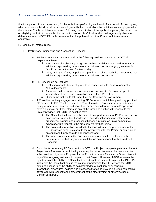firm for a period of one (1) year and, for the individuals performing such work, for a period of one (1) year, whether or not such individual remains employed with the firm at which the individual was employed when the potential Conflict of Interest occurred. Following the expiration of the applicable period, the restrictions on eligibility set forth in the applicable subsections of Article VIII below shall no longer apply absent a determination by INDOT/IFA, in its discretion, that the potential or actual Conflict of Interest remains applicable.

- H. Conflict of Interest Rules
	- 1. Preliminary Engineering and Architectural Services
		- a. PE Services consist of some or all of the following services provided to INDOT with respect to a Project:
			- i. Preparation of preliminary design and architectural documents and reports that will be incorporated by others into P3 solicitation documents (e.g., Request for Qualifications or Request for Proposals);
			- ii. Utility and right-of-way mapping and provision of similar technical documents that will be incorporated by others into P3 solicitation documents.
		- b. PE Services do not include:
			- i. Evaluation or selection of alignments in connection with the development of NEPA documents,
			- ii. Assistance with development of solicitation documents, Operator scope of work/technical provisions, evaluation criteria for a Project or iii. Other items that would fall under the E&P Services or Procurement
		- c. A Consultant actively engaged in providing PE Services or which has previously provided PE Services to INDOT with respect to a Project, maybe a Proposer or participate as an equity owner, team member, and consultant or sub-consultant of, or to, a Proposer or have a Financial or Other Interest in any of the foregoing entities with respect to that
			- Project provided that INDOT is satisfied that:
				- i. The Consultant will not, or in the case of past performance of PE Services did not have access to or obtain knowledge of confidential or sensitive information, procedures, policies and processes that could provide an unfair competitive advantage with respect to the procurement for that Project;
				- ii. The data and information provided to the Consultant in the performance of the PE Services is either irrelevant to the procurement for the Project or available on an equal and timely basis to all Proposers; and
				- iii. The work products from the Consultant incorporated into or relevant to the procurement for that Project are available on an equal and timely basis to all Proposers.
		- d. Consultants performing PE Services for INDOT on a Project may participate in a different Project as a Proposer or participating as an equity owner, team member, consultant or sub-consultant of, or to, a Proposer for the Project or have a Financial or Other Interest in any of the foregoing entities with respect to that Project. However, INDOT reserves the right to restrict the ability of a Consultant to participate in different Projects if in INDOT's judgment; the Consultant has, in the course of performing the PE Services for INDOT, obtained access to or the ability to gain knowledge of confidential or sensitive information, procedures, policies and processes that could provide an unfair competitive advantage with respect to the procurement of the other Project or otherwise has a Conflict of Interest.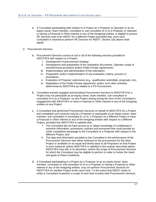- e. A Consultant participating with respect to a Project as a Proposer or Operator or as an equity owner, team member, consultant or sub consultant of or to a Proposer or Operator or having a Financial or Other lnterest in any of the foregoing entities, is eligible to pursue PE Services work from INDOT for a different Project (provided that, once such Consultant is retained to perform PE Services for INDOT, Section 1(b) above shall apply).
- 2. Procurement Services
	- a. Procurement Services consist of soil or all of the following services provided to INDOT/IFA with respect to a Project:
		- i. Development of procurement strategy;
		- ii. Development and preparation of the solicitation documents, Operator scope of work/technical provisions and/or Public-Private Agreements;
		- iii. Implementation and administration of the solicitation;
		- iv. Preparation and/or implementation of any evaluation criteria, process or procedures;
		- v. Evaluation of Proposer submission (e.g., qualification submittals, proposals, etc);
		- vi. Negotiation of the Public-Private Agreement; and/or such other activities determined by INDOT/IFA as related to a P3 Procurement.
	- b. Consultant actively engaged and providing Procurement Services to INDOT/IFA for a Project may not participate as an equity owner, team member, sub-consultant or consultant of or to a Proposer, on any Project arising during the term of the Consultant's engagement with INDOT/IFA or have a Financial or Other Interest in any of the foregoing entities on any Project.
	- c. A Consultant that performed Procurement Services on behalf of INDOT/IFA for a Project and completed such services may be a Proposer or participate as an equity owner, team member, sub-consultant or consultant of, or to, a Proposer on a different Project or have a Financial or Other Interest in any of the foregoing entities with respect to a different Project, provided that INDOT/IFA is satisfied that:
		- i. The Consultant did not have access to or obtain knowledge of confidential or sensitive information, procedures, policies and processes that could provide an unfair competitive advantage to the Consultant or a Proposer with respect to the different Project; and
		- ii. The data and information provided to the Consultant in the performance of the Procurement Services was either irrelevant to the procurement for the other Project or available on an equal and timely basis to all Proposers on that Project. In such instances where INDOT/IFA is satisfied in the manner described above, INDOT/IFA may still, in its discretion, restrict the scope of Procurement Services for which the Consultant may be eligible to perform in order to further the intent and goals of these Guidelines.
	- d. A Consultant participating in a Project as a Proposer or as an equity owner, team member, consultant or sub-consultant of or to a Proposer or having a Financial or Other Interest in any of the foregoing entities, may not perform Procurement Services for INDOT/IFA for another Project at the same time. To the extent that INDOT seeks to retain a Consultant to perform a scope of work that includes both Procurement Services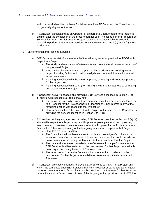and other work described in these Guidelines (such as PE Services), the Consultant is not generally eligible for the work.

- e. A Consultant participating as an Operator or as part of a Operator team for a Project is eligible, after the completion of the procurement for such Project, to perform Procurement Services for INDOT/IFA for another Project (provided that once such Consultant is retained to perform Procurement Services for INDOT/IFA, Sections 2 (b) and 2 (c) above shall apply).
- 3. Environmental and Planning Services
	- a. E&P Services consist of some of or all of the following services provided to INDOT with respect to a Project:
		- i. The study and evaluation of alternatives and potential environmental impacts of the proposed Project;
		- ii. Preparation of environmental analysis and impact documents relating to the project including facility and corridor analysis and draft and final environmental impact statements.
		- iii. Planning associated with the NEPA approval, permitting and clearance process for the project; and
		- iv. Planning associated with other (non-NEPA) environmental approvals, permitting and clearance for the project.
	- b. A Consultant actively engaged and providing E&P Services described in Section 3 (a) (iiii) above, with respect to a Project may not:
		- i. Participate as an equity owner, team member, consultant or sub-consultant of or to a Proposer for the Project or have a Financial or Other Interest in any of the foregoing entities with respect to that Project, or
		- ii. Have a Financial or Other Interest in the Project at the time that the Consultant is providing the services identified in Section 3 (a) (i-iii).
	- c. A Consultant actively engaged and providing E&P Services described in Section 3 (a) (iv) above with respect to a Project may be a Proposer or participate as an equity owner, team member, consultant or sub-consultant of or to a Proposer for the Project or have a Financial or Other Interest in any of the foregoing entities with respect to that Project, provided that INDOT is satisfied that:
		- i. The Consultant will not have access to or obtain knowledge of confidential or sensitive information, procedures, policies and processes that could provide an unfair competitive advantage with respect to the procurement for the Project;
		- ii. The data and information provided to the Consultant in the performance of the E&P Services is either irrelevant to the procurement for that Project or available on an equal and timely basis to all Proposers; and
		- iii. The work products from the Consultant incorporated into or relevant to the procurement for that Project are available on an equal and timely basis to all Proposers.
	- d. A Consultant previously engaged to provide E&P Services to INDOT for a Project and which has completed such E&P Services may be a Proposer or participate as an equity owner of, team members of consultant or sub-consultant to a Proposer for that Project or have a Financial or Other Interest in any of the forgoing entities provided that FHWA has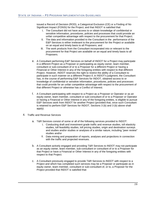issued a Record of Decision (ROD), a Categorical Exclusion (CE) or a Finding of No Significant Impact (FONSI) for the Project; and that INDOT is satisfied that:

- i. The Consultant did not have access to or obtain knowledge of confidential or sensitive information, procedures, policies and processes that could provide an unfair competitive advantage with respect to the procurement for that Project;
- ii. The data and information provided to the Consultant in the performance of the E&P Services is either irrelevant to the procurement for the Project or available on an equal and timely basis to all Proposers; and
- iii. The work products from the Consultant incorporated into or relevant to the procurement for that Project are available on an equal and timely basis to all Proposers.
- e. A Consultant performing E&P Services on behalf of INDOT for a Project may participate in a different Project as a Proposer or participating as equity owner, team member, consultant or sub-consultant of or to a Proposer for a different Project or having a Financial or Other Interest in any of the foregoing entities with respect to that different Project. However, INDOT reserves the right to restrict the ability of a Consultant to participate in such manner on a different Project if, in INDOT's judgment, the Consultant has, in the course of performing E&P Services for INDOT, obtained access to or knowledge of confidential or sensitive information, procedures, policies and processes that could provide for an unfair competitive advantage with respect to the procurement of that different Project or otherwise has a Conflict of Interest.
- f. A Consultant participating with respect to a Project as a Proposer or Operator or as an equity owner, team member, consultant or sub-consultant of or to a Proposer or Operator or having a Financial or Other Interest in any of the foregoing entities, is eligible to pursue E&P Services work from INDOT for another Project (provided that, once such Consultant is retained to perform E&P Services for INDOT, Sections 3 (b) and 3 (b) above shall apply).
- 4. Traffic and Revenue Services
	- a. T&R Services consist of some or all of the following services provided to INDOT:
		- i. Conducting draft and investment grade traffic and revenue studies, toll elasticity studies, toll feasibility studies, toll pricing studies, origin and destination surveys and studies and/or studies or analyses of a similar nature, including "peer review" studies and/or
		- ii. Data mining and preparation of reports, analyses and projections in connection with the traffic and projected revenues.
	- b. A Consultant actively engaged and providing T&R Services to INDOT may not participate as an equity owner, team member, sub-consultant or consultant of or to a Proposer for that Project or have a Financial or Other Interest in any of the foregoing entities with respect to that Project.
	- c. A Consultant previously engaged to provide T&R Services to INDOT with respect to a Project and which has completed such services may be a Proposer or participate as in equity owner, team member, consultant or sub-consultant of, or to, a Proposer for the Project provided that INDOT is satisfied that: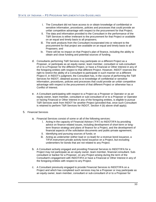- i. The Consultant did not have access to or obtain knowledge of confidential or sensitive information, procedures, policies and processes that could provide an unfair competitive advantage with respect to the procurement for that Project;
- ii. The data and information provided to the Consultant in the performance of the T&R Services is either irrelevant to the procurement for that Project or available on an equal and timely basis to all proposers;
- iii. The work products from the Consultant incorporated into or relevant to the procurement for that project are available on an equal and timely basis to all Proposers; and
- iv. There will be no impact on that Project's plan of finance, including the ability to obtain and close funding and potential sources of funding.
- d. Consultants performing T&R Services may participate on a different Project as a Proposer, or participate as an equity owner, team member, consultant or sub-consultant of or to a Proposer for the different Project, or have a Financial or Other Interest in any of the foregoing entities with respect to that different Project. However, INDOT reserves the right to restrict the ability of a Consultant to participate in such manner on a different Project if, in INDOT's judgment, the Consultant has, in the course of performing the T&R Services for INDOT, obtained access to or knowledge of confidential or sensitive information, procedures, policies and processes that could provide an unfair competitive advantage with respect to the procurement of that different Project or otherwise has a Conflict of Interest.
- e. A Consultant participating with respect to a Project as a Proposer or Operator or as an equity owner, team member, consultant or sub-consultant of or to a Proposer or Operator or having Financial or Other Interest in any of the foregoing entities, is eligible to pursue T&R Services work from INDOT for another Project (provided that, once such Consultant is retained to perform T&R Services for INDOT, Section 4 (b) above shall apply).
- 5. Financial Services
	- a. Financial Services consist of some or all of the following services:
		- i. Acting in the capacity of Financial Advisor ("FA") to INDOT/IFA by providing advice on finance-related issues, including development of short-term or longterm finance strategy and plans of finance for a Project, and the development of financial aspects of the solicitation documents and public-private agreement;
		- ii. Identifying and pursuing sources of funds; or
		- iii. Acting as underwriter (either load or co-lead) for a revenue bond issuance, a TIFIA instrument private activity bond issuance on a Project, but excluding underwriters for bonds that are not related to any Project.
	- b. A Consultant actively engaged and providing Financial Services to INDOT/IFA for a Project may not participate as an equity owner, team member, financial consultant. Subconsultant or banker for a Proposer, on any Project arising during the term of the Consultant's engagement with INDOT/IFA or have a Financial or Other Interest in any of the foregoing entities with respect to any Project.
	- c. A Consultant previously engaged to provide Financial Services to INDOT/IFA on a Project and which has completed such services may be a Proposer or may participate as an equity owner, team member, consultant or sub-consultant of or to a Proposer for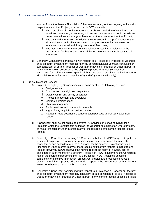another Project, or have a Financial or Other Interest in any of the foregoing entities with respect to such other Project, provided that INDOT is satisfied:

- i. The Consultant did not have access to or obtain knowledge of confidential or sensitive information, procedures, policies and processes that could provide an unfair competitive advantage with respect to the procurement for that Project;
- ii. The data and information provided to the Consultant in the performance of the Financial Services is either irrelevant to the procurement for that Project or available on an equal and timely basis to all Proposers;
- iii. The work products from the Consultant incorporated into or relevant to the procurement for that Project are available on an equal and timely basis to all Proposers.
- d. Generally, Consultants participating with respect to a Project as a Proposer or Operator or as an equity owner, team member financial consultant/advisor/banker, consultant or sub-consultant of or to a Proposer or Operator or having a Financial or Other Interest in any of the foregoing entities, shall be eligible to pursue Financial Services from INDOT/IFA for a different Project (provided that once such Consultant retained to perform Financial Services for INDOT, Section 5(b) and 5(c) above shall apply).
- 6. Project Oversight Services
	- a. Project Oversight (PO) Services consist of some or all of the following services:
		- i. Design review;
		- ii. Construction oversight and inspections;
		- iii. Quality control and quality assurance;
		- iv. Project management and overview;
		- v. Contract administration;
		- vi. Claims management;
		- vii. Public relations and community outreach;
		- viii. Right-of-way acquisition services; and/or
		- ix. Appraisal, legal description, condemnation package and/or utility assembly review.
	- b. A Consultant shall be not eligible to perform PO Services on behalf of INDOT for a Project in which the Consultant is acting as the Operator or is part of an Operator team, or has a Financial or Other Interest in any of the foregoing entities with respect to that Project.
	- c. Generally, a Consultant performing PO Services on behalf of INDOT may participate on a different Project as a Proposer or participating as an equity owner, team member, consultant or sub-consultant of or to a Proposer for the different Project or having a Financial or Other Interest in any of the foregoing entities with respect to that different Project. However, INDOT reserves the right to restrict the ability of a Consultant to participate in such manner on a different Project if, in INDOT's judgment, the Consultant has, in the course of performing the PO Services for INDOT, obtained access to confidential or sensitive information, procedures, policies and processes that could provide an unfair competitive advantage with respect to the procurement of that different Project or otherwise has a Conflict of Interest.
	- d. Generally, a Consultant participating with respect to a Project as a Proposer or Operator or as an equity owner, team member, consultant or sub-consultant of or to a Proposer or Operator or having a Financial or Other Interest in any of the foregoing entities is eligible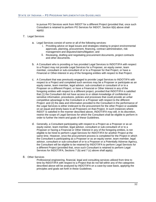to pursue PO Services work from INDOT for a different Project (provided that, once such Consultant is retained to perform PO Services for INDOT, Section 6(b) above shall apply).

- 7. Legal Services
	- a. Legal Services consist of some or all of the following services:
		- i. Providing advice on legal issues and strategies relating to project environmental approvals, planning, procurement, financing, contract administration, risk management and disputes/claims/litigation; and
		- ii. Reviewing, drafting and negotiating procurement documents, project contracts and other documents.
	- b. A Consultant who is providing or has provided Legal Services to INDOT/IFA with respect to a Project may not provide Legal Services for a Proposer, an equity owner, team member, consultant or sub-consultant of or to a Proposer for that Project, or have a Financial or Other-Interest in any of the foregoing entities with respect to that Project.
	- c. A Consultant that was previously engaged to provide Legal Services to INDOT/IFA with respect to a Project and completed such services may be a Proposer or participate as an equity owner, team member, legal advisor, sub-consultant or consultant of or to a Proposer on a different Project, or have a Financial or Other Interest in any of the foregoing entities with respect to a different project, provided that INDOT/IFA is satisfied that (1) the Consultant did not have access to or obtain knowledge of confidential or sensitive information, procedures, policies and processes that could provide an unfair competitive advantage to the Consultant or a Proposer with respect to the different Project: and (2) the data and information provided to the Consultant in the performance of the Legal Services is either irrelevant to the procurement for the other Project or available on an equal and timely basis to all Proposers on that-Project. In such instances where INDOT is satisfied in the manner described above, INDOT/IFA may still, in its discretion, restrict the scope of Legal Services for which the Consultant shall be eligible to perform in order to further the intent and goals of these Guidelines.
	- d. Generally, a Consultant participating with respect to a Project as a Proposer or as an equity owner, team member, legal advisor, consultant or sub-consultant of or to a Proposer or having a Financial or Other Interest in any of the foregoing entities, is not eligible to be hired to perform Legal Services for INDOT/IFA for another Project at the same time. However, once the procurement process is completed for the Project in which the Consultant is participating as a Proposer or as an equity owner, team member, legal advisor, consultant or sub-consultant of or to a Proposer or a Potentially Adverse Agency, the Consultant will be eligible to be retained by INDOT/IFA to perform Legal Services for a different Project (provided that, once such Consultant is retained to perform Legal Services for INDOT/IFA, Sections 7 (b) and 7 (c) above shall apply).
- 8. Other Services

Professional engineering, financial, legal and consulting services utilized from time to time by INDOT/IFA with respect to a Project that do not fall within any of the categories described above will be analyzed by INDOT/IFA on a case-by-case basis, applying the principles and goals set forth in these Guidelines.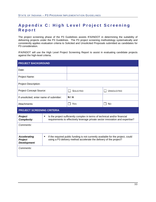## <span id="page-34-0"></span>**Appendix C : High Level Project Screenin g Report**

The project screening phase of the P3 Guidelines assists IFA/INDOT in determining the suitability of delivering projects under the P3 Guidelines. The P3 project screening methodology systematically and consistently applies evaluation criteria to Solicited and Unsolicited Proposals submitted as candidates for P3 consideration.

IFA/INDOT will use the High Level Project Screening Report to assist in evaluating candidate projects against the high-level criteria.

| <b>PROJECT BACKGROUND</b>                      |                                                                                                                                                                  |                  |                    |  |
|------------------------------------------------|------------------------------------------------------------------------------------------------------------------------------------------------------------------|------------------|--------------------|--|
| Date:                                          |                                                                                                                                                                  |                  |                    |  |
| Project Name:                                  |                                                                                                                                                                  |                  |                    |  |
| <b>Project Description:</b>                    |                                                                                                                                                                  |                  |                    |  |
| <b>Project Concept Source:</b>                 |                                                                                                                                                                  | <b>SOLICITED</b> | <b>UNSOLICITED</b> |  |
| If unsolicited, enter name of submitter:       |                                                                                                                                                                  | N/A              |                    |  |
| Attachments:                                   |                                                                                                                                                                  | <b>YES</b>       | <b>No</b>          |  |
| <b>PROJECT SCREENING CRITERIA</b>              |                                                                                                                                                                  |                  |                    |  |
| Project<br><b>Complexity:</b>                  | Is the project sufficiently complex in terms of technical and/or financial<br>٠<br>requirements to effectively leverage private sector innovation and expertise? |                  |                    |  |
| Comments:                                      |                                                                                                                                                                  |                  |                    |  |
|                                                |                                                                                                                                                                  |                  |                    |  |
| <b>Accelerating</b><br>Project<br>Development: | If the required public funding is not currently available for the project, could<br>٠<br>using a P3 delivery method accelerate the delivery of the project?      |                  |                    |  |
| Comments:                                      |                                                                                                                                                                  |                  |                    |  |
|                                                |                                                                                                                                                                  |                  |                    |  |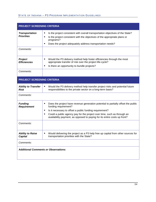#### STATE OF INDIANA – P3 PROGRAM IMPLEMENTATION GUIDELINES

| PROJECT SCREENING CRITERIA                  |                                                                                                                                                                                                                                                                                                                                                                       |  |
|---------------------------------------------|-----------------------------------------------------------------------------------------------------------------------------------------------------------------------------------------------------------------------------------------------------------------------------------------------------------------------------------------------------------------------|--|
| <b>Transportation</b><br><b>Priorities:</b> | Is the project consistent with overall transportation objectives of the State?<br>٠<br>Is the project consistent with the objectives of the appropriate plans or<br>$\blacksquare$<br>programs?<br>Does the project adequately address transportation needs?                                                                                                          |  |
| Comments:                                   |                                                                                                                                                                                                                                                                                                                                                                       |  |
| Project<br><b>Efficiencies</b>              | Would the P3 delivery method help foster efficiencies through the most<br>٠<br>appropriate transfer of risk over the project life-cycle?<br>Is there an opportunity to bundle projects?<br>$\blacksquare$                                                                                                                                                             |  |
| Comments:                                   |                                                                                                                                                                                                                                                                                                                                                                       |  |
| <b>PROJECT SCREENING CRITERIA</b>           |                                                                                                                                                                                                                                                                                                                                                                       |  |
| <b>Ability to Transfer</b><br><b>Risk</b>   | Would the P3 delivery method help transfer project risks and potential future<br>٠<br>responsibilities to the private sector on a long-term basis?                                                                                                                                                                                                                    |  |
| Comments:                                   |                                                                                                                                                                                                                                                                                                                                                                       |  |
| <b>Funding</b><br><b>Requirement</b>        | Does the project have revenue generation potential to partially offset the public<br>$\blacksquare$<br>funding requirement?<br>Is it necessary to offset a public funding requirement?<br>٠<br>Could a public agency pay for the project over time, such as through an<br>$\blacksquare$<br>availability payment, as opposed to paying for its entire costs up front? |  |
| Comments:                                   |                                                                                                                                                                                                                                                                                                                                                                       |  |
| <b>Ability to Raise</b><br><b>Capital</b>   | Would delivering the project as a P3 help free up capital from other sources for<br>transportation priorities with the State?                                                                                                                                                                                                                                         |  |
| Comments:                                   |                                                                                                                                                                                                                                                                                                                                                                       |  |
| <b>Additional Comments or Observations:</b> |                                                                                                                                                                                                                                                                                                                                                                       |  |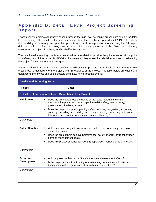## <span id="page-36-0"></span>**Appendix D : Detail Level Project Screenin g Report**

Those qualifying projects that have passed through the high level screening process are eligible for detail level screening. The detail level project screening criteria form the basis upon which IFA/INDOT evaluate the feasibility of delivering transportation projects across all transportation modes using the P3 project delivery method. The screening criteria reflect the policy priorities of the State for delivering transportation projects in a timely and cost-effective manner.

The detail level screening criteria are described in more detail to provide the private sector with a guide for defining what information IFA/INDOT will evaluate as they make their decision to invest in advancing the project forward under the P3 Program.

In the detail level project screening, IFA/INDOT will evaluate projects on the basis of two primary review categories: (1) desirability of the project; and (2) feasibility of the project. The table below provides some guidance to the private and public sectors as to how to interpret the criteria:

| <b>Detail Level Screening Form</b>                            |                                                                                                                                                                                                                                                                                                                                                                                                                         |  |
|---------------------------------------------------------------|-------------------------------------------------------------------------------------------------------------------------------------------------------------------------------------------------------------------------------------------------------------------------------------------------------------------------------------------------------------------------------------------------------------------------|--|
| Project:                                                      | Date:                                                                                                                                                                                                                                                                                                                                                                                                                   |  |
| Detail Level Screening Criteria - Desirability of the Project |                                                                                                                                                                                                                                                                                                                                                                                                                         |  |
| <b>Public Need</b>                                            | Does the project address the needs of the local, regional and state<br>٠<br>transportation plans, such as congestion relief, safety, new capacity,<br>preservation of existing assets?<br>Does the project support improving safety, reducing congestion, increasing<br>٠<br>capacity, providing accessibility, improving air quality, improving pedestrian<br>biking facilities, and/or enhancing economic efficiency? |  |
| Comments:                                                     |                                                                                                                                                                                                                                                                                                                                                                                                                         |  |
| <b>Public Benefits</b>                                        | Will this project bring a transportation benefit to the community, the region,<br>٠<br>and/or the state?<br>Does the project help achieve performance, safety, mobility or transportation<br>٠<br>demand management goals?<br>Does this project enhance adjacent transportation facilities or other modes?<br>٠                                                                                                         |  |
| Comments:                                                     |                                                                                                                                                                                                                                                                                                                                                                                                                         |  |
| <b>Economic</b><br><b>Development</b>                         | Will the project enhance the State's economic development efforts?<br>$\blacksquare$<br>Is the project critical to attracting or maintaining competitive industries and<br>$\blacksquare$<br>businesses to the region, consistent with stated objectives?                                                                                                                                                               |  |
| Comments:                                                     |                                                                                                                                                                                                                                                                                                                                                                                                                         |  |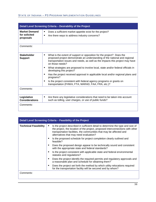#### STATE OF INDIANA – P3 PROGRAM IMPLEMENTATION GUIDELINES

| Detail Level Screening Criteria - Desirability of the Project |                                                                                                                                                                                                                                                                                                                                                                    |  |
|---------------------------------------------------------------|--------------------------------------------------------------------------------------------------------------------------------------------------------------------------------------------------------------------------------------------------------------------------------------------------------------------------------------------------------------------|--|
| <b>Market Demand</b><br>for solicited<br>proposals            | Does a sufficient market appetite exist for the project?<br>٠<br>Are there ways to address industry concerns?<br>$\blacksquare$                                                                                                                                                                                                                                    |  |
| Comments:                                                     |                                                                                                                                                                                                                                                                                                                                                                    |  |
| <b>Stakeholder</b><br><b>Support</b>                          | What is the extent of support or opposition for the project? Does the<br>٠<br>proposed project demonstrate an understanding of the national and regional<br>transportation issues and needs, as well as the impacts this project may have<br>on those needs?<br>What strategies are proposed to involve local, state and/or federal officials in<br>$\blacksquare$ |  |
|                                                               | developing this project?<br>Has the project received approval in applicable local and/or regional plans and<br>٠<br>programs?                                                                                                                                                                                                                                      |  |
|                                                               | Is the project consistent with federal agency programs or grants on<br>$\blacksquare$<br>transportation (FHWA, FTA, MARAD, FAA, FRA, etc.)?                                                                                                                                                                                                                        |  |
| Comments:                                                     |                                                                                                                                                                                                                                                                                                                                                                    |  |
| Legislative<br><b>Considerations</b>                          | Are there any legislative considerations that need to be taken into account<br>٠<br>such as tolling, user charges, or use of public funds?                                                                                                                                                                                                                         |  |
| Comments:                                                     |                                                                                                                                                                                                                                                                                                                                                                    |  |

| Detail Level Screening Criteria - Feasibility of the Project |                                                                                                                                                                                                                                                                                    |  |
|--------------------------------------------------------------|------------------------------------------------------------------------------------------------------------------------------------------------------------------------------------------------------------------------------------------------------------------------------------|--|
| <b>Technical Feasibility</b>                                 | Is the project described in sufficient detail to determine the type and size of<br>the project, the location of the project, proposed interconnections with other<br>transportation facilities, the communities that may be affected and<br>alternatives that may need evaluation? |  |
|                                                              | Is the proposed schedule for project completion clearly outlined and<br>feasible?                                                                                                                                                                                                  |  |
|                                                              | Does the proposed design appear to be technically sound and consistent<br>with the appropriate state and federal standards?                                                                                                                                                        |  |
|                                                              | Is the project consistent with applicable state and federal environmental<br>statutes and regulations?                                                                                                                                                                             |  |
|                                                              | Does the project identify the required permits and regulatory approvals and<br>a reasonable plan and schedule for obtaining them?                                                                                                                                                  |  |
|                                                              | Does the project set forth the method by which utility relocations required<br>for the transportation facility will be secured and by whom?                                                                                                                                        |  |
| Comments:                                                    |                                                                                                                                                                                                                                                                                    |  |